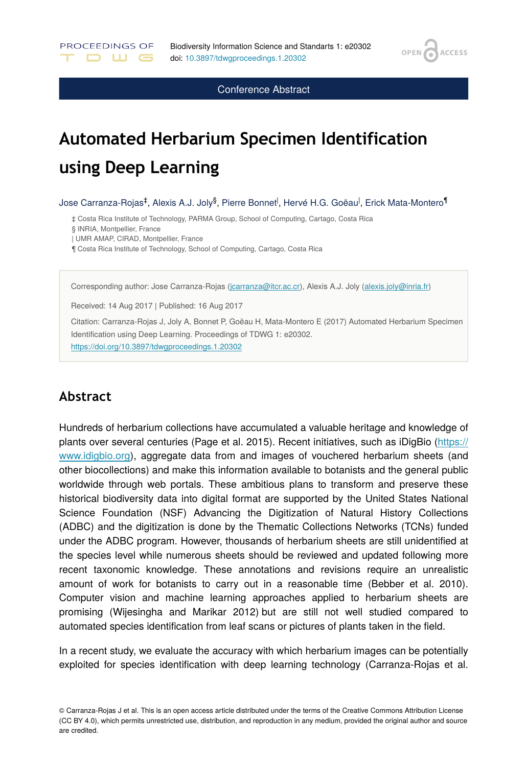**ACCESS** 

**OPEN** 

Conference Abstract

# **Automated Herbarium Specimen Identification using Deep Learning**

Jose Carranza-Rojas‡, Alexis A.J. Joly<sup>§</sup>, Pierre Bonnet<sup>I</sup>, Hervé H.G. Goëau<sup>l</sup>, Erick Mata-Montero<sup>¶</sup>

‡ Costa Rica Institute of Technology, PARMA Group, School of Computing, Cartago, Costa Rica

§ INRIA, Montpellier, France

PROCEEDINGS OF

**DWG** 

| UMR AMAP, CIRAD, Montpellier, France

¶ Costa Rica Institute of Technology, School of Computing, Cartago, Costa Rica

Corresponding author: Jose Carranza-Rojas [\(jcarranza@itcr.ac.cr\)](mailto:jcarranza@itcr.ac.cr), Alexis A.J. Joly [\(alexis.joly@inria.fr\)](mailto:alexis.joly@inria.fr)

Received: 14 Aug 2017 | Published: 16 Aug 2017

Citation: Carranza-Rojas J, Joly A, Bonnet P, Goëau H, Mata-Montero E (2017) Automated Herbarium Specimen Identification using Deep Learning. Proceedings of TDWG 1: e20302. <https://doi.org/10.3897/tdwgproceedings.1.20302>

#### **Abstract**

Hundreds of herbarium collections have accumulated a valuable heritage and knowledge of plants over several centuries (Page et al. 2015). Recent initiatives, such as iDigBio [\(https://](https://www.idigbio.org/) [www.idigbio.org](https://www.idigbio.org/)), aggregate data from and images of vouchered herbarium sheets (and other biocollections) and make this information available to botanists and the general public worldwide through web portals. These ambitious plans to transform and preserve these historical biodiversity data into digital format are supported by the United States National Science Foundation (NSF) Advancing the Digitization of Natural History Collections (ADBC) and the digitization is done by the Thematic Collections Networks (TCNs) funded under the ADBC program. However, thousands of herbarium sheets are still unidentified at the species level while numerous sheets should be reviewed and updated following more recent taxonomic knowledge. These annotations and revisions require an unrealistic amount of work for botanists to carry out in a reasonable time (Bebber et al. 2010). Computer vision and machine learning approaches applied to herbarium sheets are promising (Wijesingha and Marikar 2012) but are still not well studied compared to automated species identification from leaf scans or pictures of plants taken in the field.

In a recent study, we evaluate the accuracy with which herbarium images can be potentially exploited for species identification with deep learning technology (Carranza-Rojas et al.

© Carranza-Rojas J et al. This is an open access article distributed under the terms of the Creative Commons Attribution License (CC BY 4.0), which permits unrestricted use, distribution, and reproduction in any medium, provided the original author and source are credited.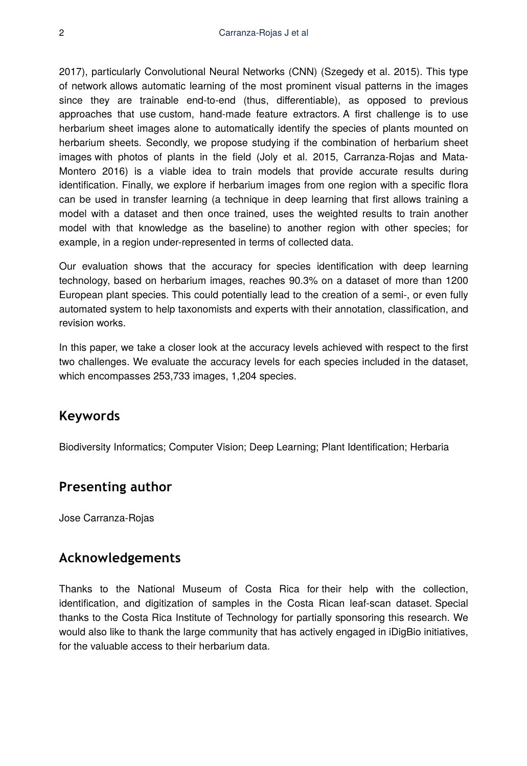2017), particularly Convolutional Neural Networks (CNN) (Szegedy et al. 2015). This type of network allows automatic learning of the most prominent visual patterns in the images since they are trainable end-to-end (thus, differentiable), as opposed to previous approaches that use custom, hand-made feature extractors. A first challenge is to use herbarium sheet images alone to automatically identify the species of plants mounted on herbarium sheets. Secondly, we propose studying if the combination of herbarium sheet images with photos of plants in the field (Joly et al. 2015, Carranza-Rojas and Mata-Montero 2016) is a viable idea to train models that provide accurate results during identification. Finally, we explore if herbarium images from one region with a specific flora can be used in transfer learning (a technique in deep learning that first allows training a model with a dataset and then once trained, uses the weighted results to train another model with that knowledge as the baseline) to another region with other species; for example, in a region under-represented in terms of collected data.

Our evaluation shows that the accuracy for species identification with deep learning technology, based on herbarium images, reaches 90.3% on a dataset of more than 1200 European plant species. This could potentially lead to the creation of a semi-, or even fully automated system to help taxonomists and experts with their annotation, classification, and revision works.

In this paper, we take a closer look at the accuracy levels achieved with respect to the first two challenges. We evaluate the accuracy levels for each species included in the dataset, which encompasses 253,733 images, 1,204 species.

## **Keywords**

Biodiversity Informatics; Computer Vision; Deep Learning; Plant Identification; Herbaria

### **Presenting author**

Jose Carranza-Rojas

### **Acknowledgements**

Thanks to the National Museum of Costa Rica for their help with the collection, identification, and digitization of samples in the Costa Rican leaf-scan dataset. Special thanks to the Costa Rica Institute of Technology for partially sponsoring this research. We would also like to thank the large community that has actively engaged in iDigBio initiatives, for the valuable access to their herbarium data.